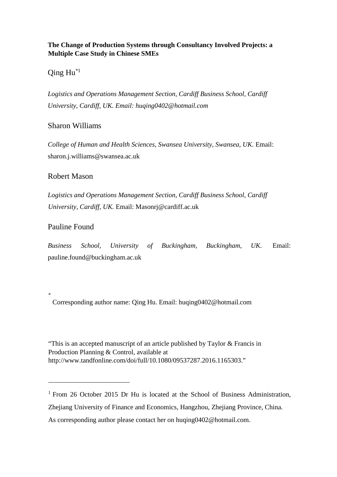# **The Change of Production Systems through Consultancy Involved Projects: a Multiple Case Study in Chinese SMEs**

 $Qing Hu^{*1}$ 

*Logistics and Operations Management Section, Cardiff Business School, Cardiff University, Cardiff, UK. Email: huqing0402@hotmail.com* 

# Sharon Williams

*College of Human and Health Sciences, Swansea University, Swansea, UK.* Email: sharon.j.williams@swansea.ac.uk

# Robert Mason

*Logistics and Operations Management Section, Cardiff Business School, Cardiff University, Cardiff, UK.* Email: Masonrj@cardiff.ac.uk

# Pauline Found

\*

 $\overline{a}$ 

*Business School, University of Buckingham, Buckingham, UK.* Email: pauline.found@buckingham.ac.uk

Corresponding author name: Qing Hu. Email: huqing0402@hotmail.com

"This is an accepted manuscript of an article published by Taylor & Francis in Production Planning & Control, available at http://www.tandfonline.com/doi/full/10.1080/09537287.2016.1165303."

<sup>&</sup>lt;sup>1</sup> From 26 October 2015 Dr Hu is located at the School of Business Administration, Zhejiang University of Finance and Economics, Hangzhou, Zhejiang Province, China. As corresponding author please contact her on huqing0402@hotmail.com.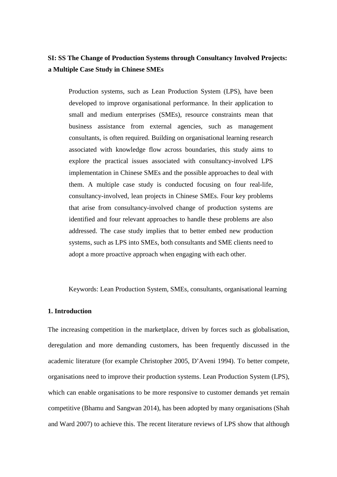# **SI: SS The Change of Production Systems through Consultancy Involved Projects: a Multiple Case Study in Chinese SMEs**

Production systems, such as Lean Production System (LPS), have been developed to improve organisational performance. In their application to small and medium enterprises (SMEs), resource constraints mean that business assistance from external agencies, such as management consultants, is often required. Building on organisational learning research associated with knowledge flow across boundaries, this study aims to explore the practical issues associated with consultancy-involved LPS implementation in Chinese SMEs and the possible approaches to deal with them. A multiple case study is conducted focusing on four real-life, consultancy-involved, lean projects in Chinese SMEs. Four key problems that arise from consultancy-involved change of production systems are identified and four relevant approaches to handle these problems are also addressed. The case study implies that to better embed new production systems, such as LPS into SMEs, both consultants and SME clients need to adopt a more proactive approach when engaging with each other.

Keywords: Lean Production System, SMEs, consultants, organisational learning

## **1. Introduction**

The increasing competition in the marketplace, driven by forces such as globalisation, deregulation and more demanding customers, has been frequently discussed in the academic literature (for example Christopher 2005, D'Aveni 1994). To better compete, organisations need to improve their production systems. Lean Production System (LPS), which can enable organisations to be more responsive to customer demands yet remain competitive (Bhamu and Sangwan 2014), has been adopted by many organisations (Shah and Ward 2007) to achieve this. The recent literature reviews of LPS show that although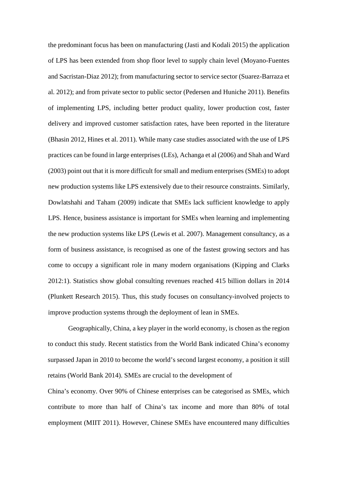the predominant focus has been on manufacturing (Jasti and Kodali 2015) the application of LPS has been extended from shop floor level to supply chain level (Moyano-Fuentes and Sacristan-Diaz 2012); from manufacturing sector to service sector (Suarez-Barraza et al. 2012); and from private sector to public sector (Pedersen and Huniche 2011). Benefits of implementing LPS, including better product quality, lower production cost, faster delivery and improved customer satisfaction rates, have been reported in the literature (Bhasin 2012, Hines et al. 2011). While many case studies associated with the use of LPS practices can be found in large enterprises (LEs), Achanga et al (2006) and Shah and Ward (2003) point out that it is more difficult for small and medium enterprises (SMEs) to adopt new production systems like LPS extensively due to their resource constraints. Similarly, Dowlatshahi and Taham (2009) indicate that SMEs lack sufficient knowledge to apply LPS. Hence, business assistance is important for SMEs when learning and implementing the new production systems like LPS (Lewis et al. 2007). Management consultancy, as a form of business assistance, is recognised as one of the fastest growing sectors and has come to occupy a significant role in many modern organisations (Kipping and Clarks 2012:1). Statistics show global consulting revenues reached 415 billion dollars in 2014 (Plunkett Research 2015). Thus, this study focuses on consultancy-involved projects to improve production systems through the deployment of lean in SMEs.

Geographically, China, a key player in the world economy, is chosen as the region to conduct this study. Recent statistics from the World Bank indicated China's economy surpassed Japan in 2010 to become the world's second largest economy, a position it still retains (World Bank 2014). SMEs are crucial to the development of

China's economy. Over 90% of Chinese enterprises can be categorised as SMEs, which contribute to more than half of China's tax income and more than 80% of total employment (MIIT 2011). However, Chinese SMEs have encountered many difficulties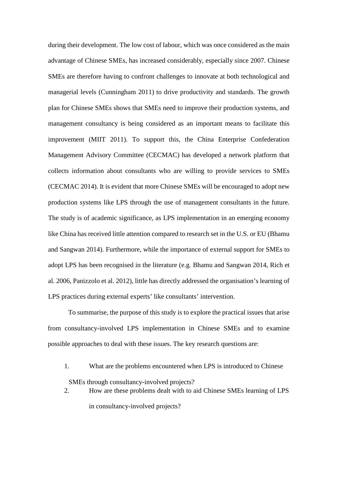during their development. The low cost of labour, which was once considered as the main advantage of Chinese SMEs, has increased considerably, especially since 2007. Chinese SMEs are therefore having to confront challenges to innovate at both technological and managerial levels (Cunningham 2011) to drive productivity and standards. The growth plan for Chinese SMEs shows that SMEs need to improve their production systems, and management consultancy is being considered as an important means to facilitate this improvement (MIIT 2011). To support this, the China Enterprise Confederation Management Advisory Committee (CECMAC) has developed a network platform that collects information about consultants who are willing to provide services to SMEs (CECMAC 2014). It is evident that more Chinese SMEs will be encouraged to adopt new production systems like LPS through the use of management consultants in the future. The study is of academic significance, as LPS implementation in an emerging economy like China has received little attention compared to research set in the U.S. or EU (Bhamu and Sangwan 2014). Furthermore, while the importance of external support for SMEs to adopt LPS has been recognised in the literature (e.g. Bhamu and Sangwan 2014, Rich et al. 2006, Panizzolo et al. 2012), little has directly addressed the organisation's learning of LPS practices during external experts' like consultants' intervention.

To summarise, the purpose of this study is to explore the practical issues that arise from consultancy-involved LPS implementation in Chinese SMEs and to examine possible approaches to deal with these issues. The key research questions are:

- 1. What are the problems encountered when LPS is introduced to Chinese SMEs through consultancy-involved projects?
- 2. How are these problems dealt with to aid Chinese SMEs learning of LPS in consultancy-involved projects?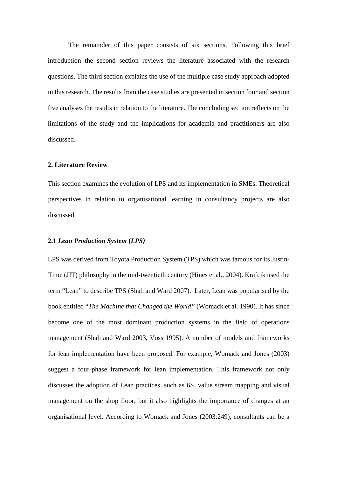The remainder of this paper consists of six sections. Following this brief introduction the second section reviews the literature associated with the research questions. The third section explains the use of the multiple case study approach adopted in this research. The results from the case studies are presented in section four and section five analyses the results in relation to the literature. The concluding section reflects on the limitations of the study and the implications for academia and practitioners are also discussed.

## **2. Literature Review**

This section examines the evolution of LPS and its implementation in SMEs. Theoretical perspectives in relation to organisational learning in consultancy projects are also discussed.

## **2.1** *Lean Production System* **(***LPS)*

LPS was derived from Toyota Production System (TPS) which was famous for its Justin-Time (JIT) philosophy in the mid-twentieth century (Hines et al., 2004). Krafcik used the term "Lean" to describe TPS (Shah and Ward 2007). Later, Lean was popularised by the book entitled "*The Machine that Changed the World"* (Womack et al. 1990). It has since become one of the most dominant production systems in the field of operations management (Shah and Ward 2003, Voss 1995). A number of models and frameworks for lean implementation have been proposed. For example, Womack and Jones (2003) suggest a four-phase framework for lean implementation. This framework not only discusses the adoption of Lean practices, such as 6S, value stream mapping and visual management on the shop floor, but it also highlights the importance of changes at an organisational level. According to Womack and Jones (2003:249), consultants can be a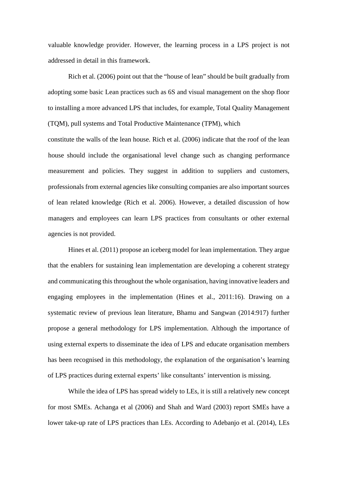valuable knowledge provider. However, the learning process in a LPS project is not addressed in detail in this framework.

Rich et al. (2006) point out that the "house of lean" should be built gradually from adopting some basic Lean practices such as 6S and visual management on the shop floor to installing a more advanced LPS that includes, for example, Total Quality Management (TQM), pull systems and Total Productive Maintenance (TPM), which

constitute the walls of the lean house. Rich et al. (2006) indicate that the roof of the lean house should include the organisational level change such as changing performance measurement and policies. They suggest in addition to suppliers and customers, professionals from external agencies like consulting companies are also important sources of lean related knowledge (Rich et al. 2006). However, a detailed discussion of how managers and employees can learn LPS practices from consultants or other external agencies is not provided.

Hines et al. (2011) propose an iceberg model for lean implementation. They argue that the enablers for sustaining lean implementation are developing a coherent strategy and communicating this throughout the whole organisation, having innovative leaders and engaging employees in the implementation (Hines et al., 2011:16). Drawing on a systematic review of previous lean literature, Bhamu and Sangwan (2014:917) further propose a general methodology for LPS implementation. Although the importance of using external experts to disseminate the idea of LPS and educate organisation members has been recognised in this methodology, the explanation of the organisation's learning of LPS practices during external experts' like consultants' intervention is missing.

While the idea of LPS has spread widely to LEs, it is still a relatively new concept for most SMEs. Achanga et al (2006) and Shah and Ward (2003) report SMEs have a lower take-up rate of LPS practices than LEs. According to Adebanjo et al. (2014), LEs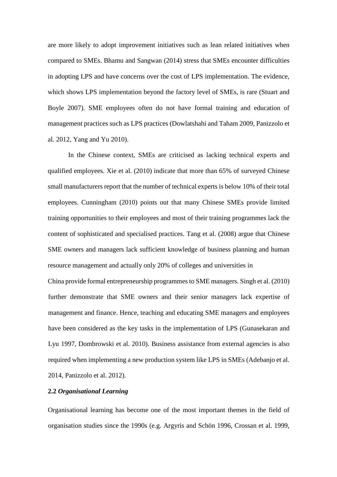are more likely to adopt improvement initiatives such as lean related initiatives when compared to SMEs. Bhamu and Sangwan (2014) stress that SMEs encounter difficulties in adopting LPS and have concerns over the cost of LPS implementation. The evidence, which shows LPS implementation beyond the factory level of SMEs, is rare (Stuart and Boyle 2007). SME employees often do not have formal training and education of management practices such as LPS practices (Dowlatshahi and Taham 2009, Panizzolo et al. 2012, Yang and Yu 2010).

In the Chinese context, SMEs are criticised as lacking technical experts and qualified employees. Xie et al. (2010) indicate that more than 65% of surveyed Chinese small manufacturers report that the number of technical experts is below 10% of their total employees. Cunningham (2010) points out that many Chinese SMEs provide limited training opportunities to their employees and most of their training programmes lack the content of sophisticated and specialised practices. Tang et al. (2008) argue that Chinese SME owners and managers lack sufficient knowledge of business planning and human resource management and actually only 20% of colleges and universities in China provide formal entrepreneurship programmes to SME managers. Singh et al. (2010) further demonstrate that SME owners and their senior managers lack expertise of management and finance. Hence, teaching and educating SME managers and employees have been considered as the key tasks in the implementation of LPS (Gunasekaran and Lyu 1997, Dombrowski et al. 2010). Business assistance from external agencies is also required when implementing a new production system like LPS in SMEs (Adebanjo et al.

2014, Panizzolo et al. 2012).

## **2.2** *Organisational Learning*

Organisational learning has become one of the most important themes in the field of organisation studies since the 1990s (e.g. Argyris and Schön 1996, Crossan et al. 1999,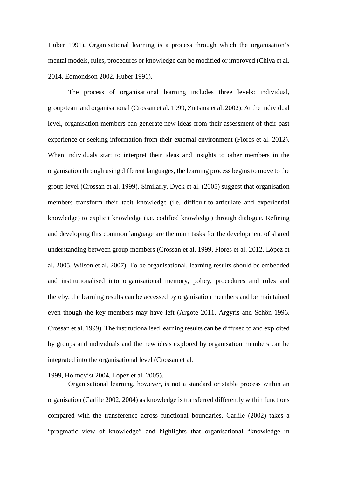Huber 1991). Organisational learning is a process through which the organisation's mental models, rules, procedures or knowledge can be modified or improved (Chiva et al. 2014, Edmondson 2002, Huber 1991).

The process of organisational learning includes three levels: individual, group/team and organisational (Crossan et al. 1999, Zietsma et al. 2002). At the individual level, organisation members can generate new ideas from their assessment of their past experience or seeking information from their external environment (Flores et al. 2012). When individuals start to interpret their ideas and insights to other members in the organisation through using different languages, the learning process begins to move to the group level (Crossan et al. 1999). Similarly, Dyck et al. (2005) suggest that organisation members transform their tacit knowledge (i.e. difficult-to-articulate and experiential knowledge) to explicit knowledge (i.e. codified knowledge) through dialogue. Refining and developing this common language are the main tasks for the development of shared understanding between group members (Crossan et al. 1999, Flores et al. 2012, López et al. 2005, Wilson et al. 2007). To be organisational, learning results should be embedded and institutionalised into organisational memory, policy, procedures and rules and thereby, the learning results can be accessed by organisation members and be maintained even though the key members may have left (Argote 2011, Argyris and Schön 1996, Crossan et al. 1999). The institutionalised learning results can be diffused to and exploited by groups and individuals and the new ideas explored by organisation members can be integrated into the organisational level (Crossan et al.

1999, Holmqvist 2004, López et al. 2005).

Organisational learning, however, is not a standard or stable process within an organisation (Carlile 2002, 2004) as knowledge is transferred differently within functions compared with the transference across functional boundaries. Carlile (2002) takes a "pragmatic view of knowledge" and highlights that organisational "knowledge in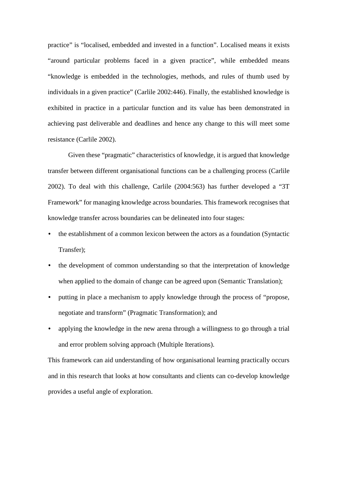practice" is "localised, embedded and invested in a function". Localised means it exists "around particular problems faced in a given practice", while embedded means "knowledge is embedded in the technologies, methods, and rules of thumb used by individuals in a given practice" (Carlile 2002:446). Finally, the established knowledge is exhibited in practice in a particular function and its value has been demonstrated in achieving past deliverable and deadlines and hence any change to this will meet some resistance (Carlile 2002).

Given these "pragmatic" characteristics of knowledge, it is argued that knowledge transfer between different organisational functions can be a challenging process (Carlile 2002). To deal with this challenge, Carlile (2004:563) has further developed a "3T Framework" for managing knowledge across boundaries. This framework recognises that knowledge transfer across boundaries can be delineated into four stages:

- the establishment of a common lexicon between the actors as a foundation (Syntactic Transfer);
- the development of common understanding so that the interpretation of knowledge when applied to the domain of change can be agreed upon (Semantic Translation);
- putting in place a mechanism to apply knowledge through the process of "propose, negotiate and transform" (Pragmatic Transformation); and
- applying the knowledge in the new arena through a willingness to go through a trial and error problem solving approach (Multiple Iterations).

This framework can aid understanding of how organisational learning practically occurs and in this research that looks at how consultants and clients can co-develop knowledge provides a useful angle of exploration.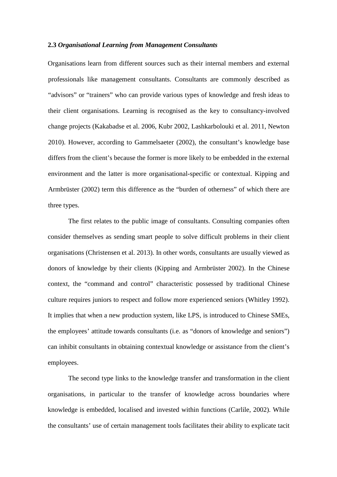### **2.3** *Organisational Learning from Management Consultants*

Organisations learn from different sources such as their internal members and external professionals like management consultants. Consultants are commonly described as "advisors" or "trainers" who can provide various types of knowledge and fresh ideas to their client organisations. Learning is recognised as the key to consultancy-involved change projects (Kakabadse et al. 2006, Kubr 2002, Lashkarbolouki et al. 2011, Newton 2010). However, according to Gammelsaeter (2002), the consultant's knowledge base differs from the client's because the former is more likely to be embedded in the external environment and the latter is more organisational-specific or contextual. Kipping and Armbrüster (2002) term this difference as the "burden of otherness" of which there are three types.

The first relates to the public image of consultants. Consulting companies often consider themselves as sending smart people to solve difficult problems in their client organisations (Christensen et al. 2013). In other words, consultants are usually viewed as donors of knowledge by their clients (Kipping and Armbrüster 2002). In the Chinese context, the "command and control" characteristic possessed by traditional Chinese culture requires juniors to respect and follow more experienced seniors (Whitley 1992). It implies that when a new production system, like LPS, is introduced to Chinese SMEs, the employees' attitude towards consultants (i.e. as "donors of knowledge and seniors") can inhibit consultants in obtaining contextual knowledge or assistance from the client's employees.

The second type links to the knowledge transfer and transformation in the client organisations, in particular to the transfer of knowledge across boundaries where knowledge is embedded, localised and invested within functions (Carlile, 2002). While the consultants' use of certain management tools facilitates their ability to explicate tacit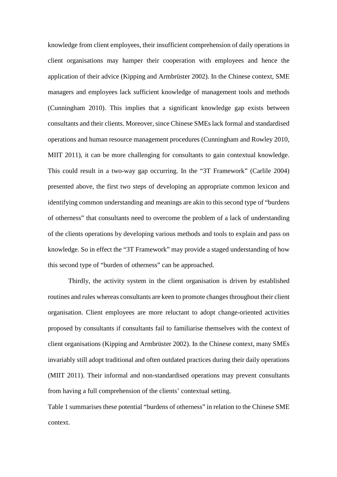knowledge from client employees, their insufficient comprehension of daily operations in client organisations may hamper their cooperation with employees and hence the application of their advice (Kipping and Armbrüster 2002). In the Chinese context, SME managers and employees lack sufficient knowledge of management tools and methods (Cunningham 2010). This implies that a significant knowledge gap exists between consultants and their clients. Moreover, since Chinese SMEs lack formal and standardised operations and human resource management procedures (Cunningham and Rowley 2010, MIIT 2011), it can be more challenging for consultants to gain contextual knowledge. This could result in a two-way gap occurring. In the "3T Framework" (Carlile 2004) presented above, the first two steps of developing an appropriate common lexicon and identifying common understanding and meanings are akin to this second type of "burdens of otherness" that consultants need to overcome the problem of a lack of understanding of the clients operations by developing various methods and tools to explain and pass on knowledge. So in effect the "3T Framework" may provide a staged understanding of how this second type of "burden of otherness" can be approached.

Thirdly, the activity system in the client organisation is driven by established routines and rules whereas consultants are keen to promote changes throughout their client organisation. Client employees are more reluctant to adopt change-oriented activities proposed by consultants if consultants fail to familiarise themselves with the context of client organisations (Kipping and Armbrüster 2002). In the Chinese context, many SMEs invariably still adopt traditional and often outdated practices during their daily operations (MIIT 2011). Their informal and non-standardised operations may prevent consultants from having a full comprehension of the clients' contextual setting.

Table 1 summarises these potential "burdens of otherness" in relation to the Chinese SME context.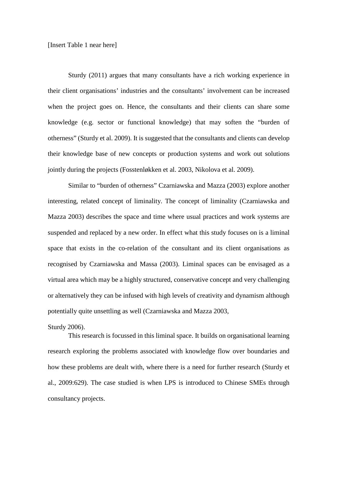## [Insert Table 1 near here]

Sturdy (2011) argues that many consultants have a rich working experience in their client organisations' industries and the consultants' involvement can be increased when the project goes on. Hence, the consultants and their clients can share some knowledge (e.g. sector or functional knowledge) that may soften the "burden of otherness" (Sturdy et al. 2009). It is suggested that the consultants and clients can develop their knowledge base of new concepts or production systems and work out solutions jointly during the projects (Fosstenløkken et al. 2003, Nikolova et al. 2009).

Similar to "burden of otherness" Czarniawska and Mazza (2003) explore another interesting, related concept of liminality. The concept of liminality (Czarniawska and Mazza 2003) describes the space and time where usual practices and work systems are suspended and replaced by a new order. In effect what this study focuses on is a liminal space that exists in the co-relation of the consultant and its client organisations as recognised by Czarniawska and Massa (2003). Liminal spaces can be envisaged as a virtual area which may be a highly structured, conservative concept and very challenging or alternatively they can be infused with high levels of creativity and dynamism although potentially quite unsettling as well (Czarniawska and Mazza 2003,

### Sturdy 2006).

This research is focussed in this liminal space. It builds on organisational learning research exploring the problems associated with knowledge flow over boundaries and how these problems are dealt with, where there is a need for further research (Sturdy et al., 2009:629). The case studied is when LPS is introduced to Chinese SMEs through consultancy projects.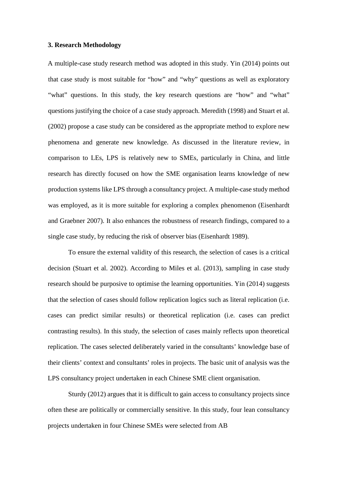## **3. Research Methodology**

A multiple-case study research method was adopted in this study. Yin (2014) points out that case study is most suitable for "how" and "why" questions as well as exploratory "what" questions. In this study, the key research questions are "how" and "what" questions justifying the choice of a case study approach. Meredith (1998) and Stuart et al. (2002) propose a case study can be considered as the appropriate method to explore new phenomena and generate new knowledge. As discussed in the literature review, in comparison to LEs, LPS is relatively new to SMEs, particularly in China, and little research has directly focused on how the SME organisation learns knowledge of new production systems like LPS through a consultancy project. A multiple-case study method was employed, as it is more suitable for exploring a complex phenomenon (Eisenhardt and Graebner 2007). It also enhances the robustness of research findings, compared to a single case study, by reducing the risk of observer bias (Eisenhardt 1989).

To ensure the external validity of this research, the selection of cases is a critical decision (Stuart et al. 2002). According to Miles et al. (2013), sampling in case study research should be purposive to optimise the learning opportunities. Yin (2014) suggests that the selection of cases should follow replication logics such as literal replication (i.e. cases can predict similar results) or theoretical replication (i.e. cases can predict contrasting results). In this study, the selection of cases mainly reflects upon theoretical replication. The cases selected deliberately varied in the consultants' knowledge base of their clients' context and consultants' roles in projects. The basic unit of analysis was the LPS consultancy project undertaken in each Chinese SME client organisation.

Sturdy (2012) argues that it is difficult to gain access to consultancy projects since often these are politically or commercially sensitive. In this study, four lean consultancy projects undertaken in four Chinese SMEs were selected from AB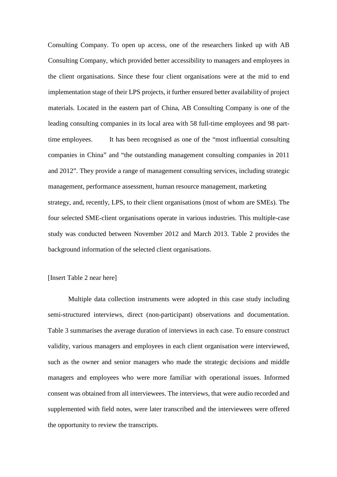Consulting Company. To open up access, one of the researchers linked up with AB Consulting Company, which provided better accessibility to managers and employees in the client organisations. Since these four client organisations were at the mid to end implementation stage of their LPS projects, it further ensured better availability of project materials. Located in the eastern part of China, AB Consulting Company is one of the leading consulting companies in its local area with 58 full-time employees and 98 parttime employees. It has been recognised as one of the "most influential consulting companies in China" and "the outstanding management consulting companies in 2011 and 2012". They provide a range of management consulting services, including strategic management, performance assessment, human resource management, marketing strategy, and, recently, LPS, to their client organisations (most of whom are SMEs). The four selected SME-client organisations operate in various industries. This multiple-case study was conducted between November 2012 and March 2013. Table 2 provides the background information of the selected client organisations.

## [Insert Table 2 near here]

Multiple data collection instruments were adopted in this case study including semi-structured interviews, direct (non-participant) observations and documentation. Table 3 summarises the average duration of interviews in each case. To ensure construct validity, various managers and employees in each client organisation were interviewed, such as the owner and senior managers who made the strategic decisions and middle managers and employees who were more familiar with operational issues. Informed consent was obtained from all interviewees. The interviews, that were audio recorded and supplemented with field notes, were later transcribed and the interviewees were offered the opportunity to review the transcripts.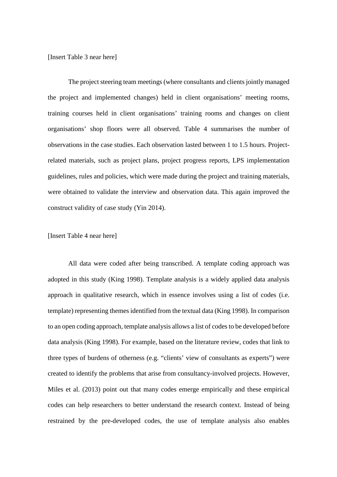#### [Insert Table 3 near here]

The project steering team meetings (where consultants and clients jointly managed the project and implemented changes) held in client organisations' meeting rooms, training courses held in client organisations' training rooms and changes on client organisations' shop floors were all observed. Table 4 summarises the number of observations in the case studies. Each observation lasted between 1 to 1.5 hours. Projectrelated materials, such as project plans, project progress reports, LPS implementation guidelines, rules and policies, which were made during the project and training materials, were obtained to validate the interview and observation data. This again improved the construct validity of case study (Yin 2014).

## [Insert Table 4 near here]

All data were coded after being transcribed. A template coding approach was adopted in this study (King 1998). Template analysis is a widely applied data analysis approach in qualitative research, which in essence involves using a list of codes (i.e. template) representing themes identified from the textual data (King 1998). In comparison to an open coding approach, template analysis allows a list of codes to be developed before data analysis (King 1998). For example, based on the literature review, codes that link to three types of burdens of otherness (e.g. "clients' view of consultants as experts") were created to identify the problems that arise from consultancy-involved projects. However, Miles et al. (2013) point out that many codes emerge empirically and these empirical codes can help researchers to better understand the research context. Instead of being restrained by the pre-developed codes, the use of template analysis also enables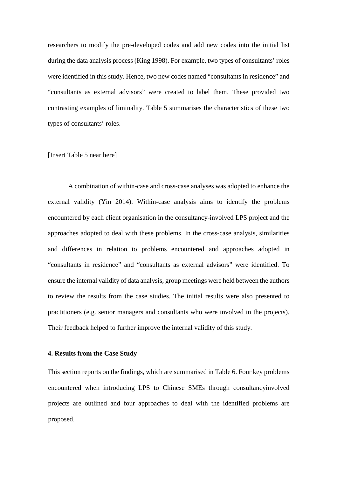researchers to modify the pre-developed codes and add new codes into the initial list during the data analysis process (King 1998). For example, two types of consultants' roles were identified in this study. Hence, two new codes named "consultants in residence" and "consultants as external advisors" were created to label them. These provided two contrasting examples of liminality. Table 5 summarises the characteristics of these two types of consultants' roles.

## [Insert Table 5 near here]

A combination of within-case and cross-case analyses was adopted to enhance the external validity (Yin 2014). Within-case analysis aims to identify the problems encountered by each client organisation in the consultancy-involved LPS project and the approaches adopted to deal with these problems. In the cross-case analysis, similarities and differences in relation to problems encountered and approaches adopted in "consultants in residence" and "consultants as external advisors" were identified. To ensure the internal validity of data analysis, group meetings were held between the authors to review the results from the case studies. The initial results were also presented to practitioners (e.g. senior managers and consultants who were involved in the projects). Their feedback helped to further improve the internal validity of this study.

## **4. Results from the Case Study**

This section reports on the findings, which are summarised in Table 6. Four key problems encountered when introducing LPS to Chinese SMEs through consultancyinvolved projects are outlined and four approaches to deal with the identified problems are proposed.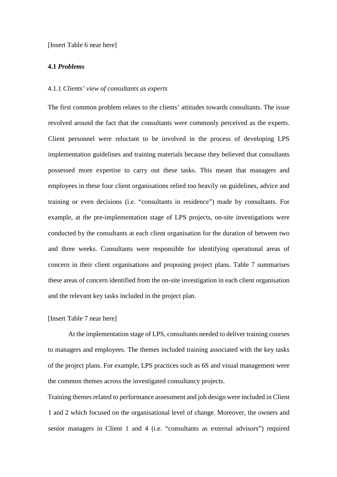[Insert Table 6 near here]

## **4.1** *Problems*

#### 4.1.1 *Clients' view of consultants as experts*

The first common problem relates to the clients' attitudes towards consultants. The issue revolved around the fact that the consultants were commonly perceived as the experts. Client personnel were reluctant to be involved in the process of developing LPS implementation guidelines and training materials because they believed that consultants possessed more expertise to carry out these tasks. This meant that managers and employees in these four client organisations relied too heavily on guidelines, advice and training or even decisions (i.e. "consultants in residence") made by consultants. For example, at the pre-implementation stage of LPS projects, on-site investigations were conducted by the consultants at each client organisation for the duration of between two and three weeks. Consultants were responsible for identifying operational areas of concern in their client organisations and proposing project plans. Table 7 summarises these areas of concern identified from the on-site investigation in each client organisation and the relevant key tasks included in the project plan.

## [Insert Table 7 near here]

At the implementation stage of LPS, consultants needed to deliver training courses to managers and employees. The themes included training associated with the key tasks of the project plans. For example, LPS practices such as 6S and visual management were the common themes across the investigated consultancy projects.

Training themes related to performance assessment and job design were included in Client 1 and 2 which focused on the organisational level of change. Moreover, the owners and senior managers in Client 1 and 4 (i.e. "consultants as external advisors") required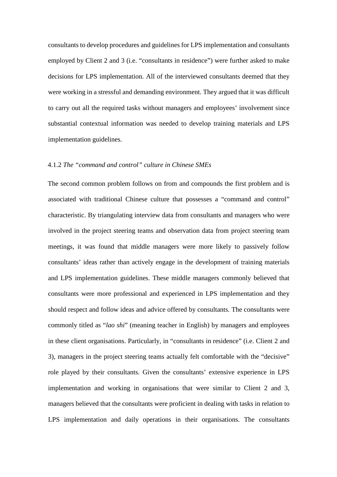consultants to develop procedures and guidelines for LPS implementation and consultants employed by Client 2 and 3 (i.e. "consultants in residence") were further asked to make decisions for LPS implementation. All of the interviewed consultants deemed that they were working in a stressful and demanding environment. They argued that it was difficult to carry out all the required tasks without managers and employees' involvement since substantial contextual information was needed to develop training materials and LPS implementation guidelines.

## 4.1.2 *The "command and control" culture in Chinese SMEs*

The second common problem follows on from and compounds the first problem and is associated with traditional Chinese culture that possesses a "command and control" characteristic. By triangulating interview data from consultants and managers who were involved in the project steering teams and observation data from project steering team meetings, it was found that middle managers were more likely to passively follow consultants' ideas rather than actively engage in the development of training materials and LPS implementation guidelines. These middle managers commonly believed that consultants were more professional and experienced in LPS implementation and they should respect and follow ideas and advice offered by consultants. The consultants were commonly titled as "*lao shi*" (meaning teacher in English) by managers and employees in these client organisations. Particularly, in "consultants in residence" (i.e. Client 2 and 3), managers in the project steering teams actually felt comfortable with the "decisive" role played by their consultants. Given the consultants' extensive experience in LPS implementation and working in organisations that were similar to Client 2 and 3, managers believed that the consultants were proficient in dealing with tasks in relation to LPS implementation and daily operations in their organisations. The consultants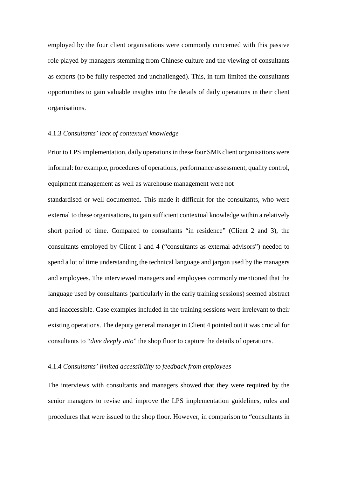employed by the four client organisations were commonly concerned with this passive role played by managers stemming from Chinese culture and the viewing of consultants as experts (to be fully respected and unchallenged). This, in turn limited the consultants opportunities to gain valuable insights into the details of daily operations in their client organisations.

## 4.1.3 *Consultants' lack of contextual knowledge*

Prior to LPS implementation, daily operations in these four SME client organisations were informal: for example, procedures of operations, performance assessment, quality control, equipment management as well as warehouse management were not

standardised or well documented. This made it difficult for the consultants, who were external to these organisations, to gain sufficient contextual knowledge within a relatively short period of time. Compared to consultants "in residence" (Client 2 and 3), the consultants employed by Client 1 and 4 ("consultants as external advisors") needed to spend a lot of time understanding the technical language and jargon used by the managers and employees. The interviewed managers and employees commonly mentioned that the language used by consultants (particularly in the early training sessions) seemed abstract and inaccessible. Case examples included in the training sessions were irrelevant to their existing operations. The deputy general manager in Client 4 pointed out it was crucial for consultants to "*dive deeply into*" the shop floor to capture the details of operations.

## 4.1.4 *Consultants' limited accessibility to feedback from employees*

The interviews with consultants and managers showed that they were required by the senior managers to revise and improve the LPS implementation guidelines, rules and procedures that were issued to the shop floor. However, in comparison to "consultants in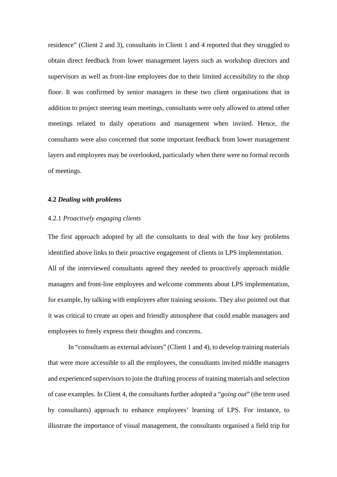residence" (Client 2 and 3), consultants in Client 1 and 4 reported that they struggled to obtain direct feedback from lower management layers such as workshop directors and supervisors as well as front-line employees due to their limited accessibility to the shop floor. It was confirmed by senior managers in these two client organisations that in addition to project steering team meetings, consultants were only allowed to attend other meetings related to daily operations and management when invited. Hence, the consultants were also concerned that some important feedback from lower management layers and employees may be overlooked, particularly when there were no formal records of meetings.

## **4.2** *Dealing with problems*

## 4.2.1 *Proactively engaging clients*

The first approach adopted by all the consultants to deal with the four key problems identified above links to their proactive engagement of clients in LPS implementation. All of the interviewed consultants agreed they needed to proactively approach middle managers and front-line employees and welcome comments about LPS implementation, for example, by talking with employees after training sessions. They also pointed out that it was critical to create an open and friendly atmosphere that could enable managers and employees to freely express their thoughts and concerns.

In "consultants as external advisors" (Client 1 and 4), to develop training materials that were more accessible to all the employees, the consultants invited middle managers and experienced supervisors to join the drafting process of training materials and selection of case examples. In Client 4, the consultants further adopted a "*going out*" (the term used by consultants) approach to enhance employees' learning of LPS. For instance, to illustrate the importance of visual management, the consultants organised a field trip for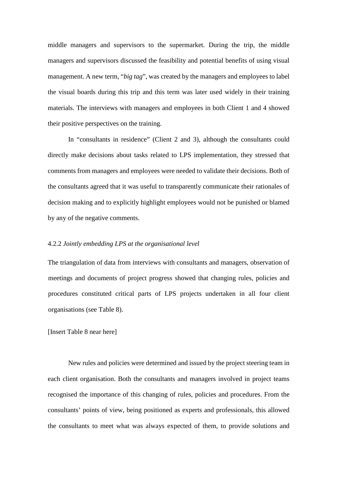middle managers and supervisors to the supermarket. During the trip, the middle managers and supervisors discussed the feasibility and potential benefits of using visual management. A new term, "*big tag*", was created by the managers and employees to label the visual boards during this trip and this term was later used widely in their training materials. The interviews with managers and employees in both Client 1 and 4 showed their positive perspectives on the training.

In "consultants in residence" (Client 2 and 3), although the consultants could directly make decisions about tasks related to LPS implementation, they stressed that comments from managers and employees were needed to validate their decisions. Both of the consultants agreed that it was useful to transparently communicate their rationales of decision making and to explicitly highlight employees would not be punished or blamed by any of the negative comments.

## 4.2.2 *Jointly embedding LPS at the organisational level*

The triangulation of data from interviews with consultants and managers, observation of meetings and documents of project progress showed that changing rules, policies and procedures constituted critical parts of LPS projects undertaken in all four client organisations (see Table 8).

[Insert Table 8 near here]

New rules and policies were determined and issued by the project steering team in each client organisation. Both the consultants and managers involved in project teams recognised the importance of this changing of rules, policies and procedures. From the consultants' points of view, being positioned as experts and professionals, this allowed the consultants to meet what was always expected of them, to provide solutions and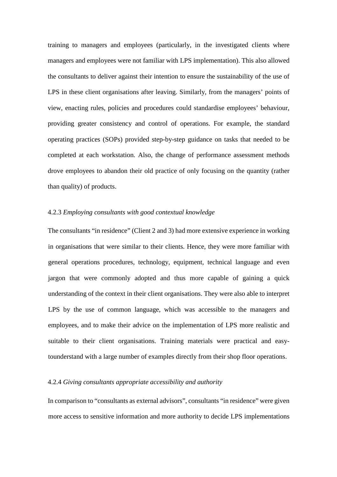training to managers and employees (particularly, in the investigated clients where managers and employees were not familiar with LPS implementation). This also allowed the consultants to deliver against their intention to ensure the sustainability of the use of LPS in these client organisations after leaving. Similarly, from the managers' points of view, enacting rules, policies and procedures could standardise employees' behaviour, providing greater consistency and control of operations. For example, the standard operating practices (SOPs) provided step-by-step guidance on tasks that needed to be completed at each workstation. Also, the change of performance assessment methods drove employees to abandon their old practice of only focusing on the quantity (rather than quality) of products.

## 4.2.3 *Employing consultants with good contextual knowledge*

The consultants "in residence" (Client 2 and 3) had more extensive experience in working in organisations that were similar to their clients. Hence, they were more familiar with general operations procedures, technology, equipment, technical language and even jargon that were commonly adopted and thus more capable of gaining a quick understanding of the context in their client organisations. They were also able to interpret LPS by the use of common language, which was accessible to the managers and employees, and to make their advice on the implementation of LPS more realistic and suitable to their client organisations. Training materials were practical and easytounderstand with a large number of examples directly from their shop floor operations.

## 4.2.4 *Giving consultants appropriate accessibility and authority*

In comparison to "consultants as external advisors", consultants "in residence" were given more access to sensitive information and more authority to decide LPS implementations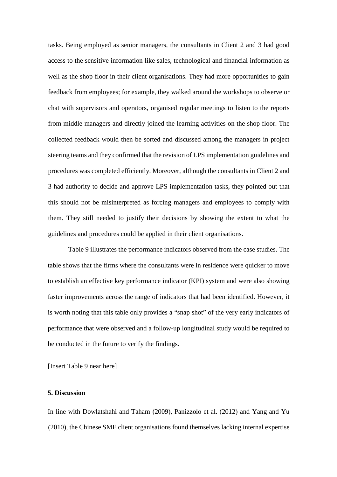tasks. Being employed as senior managers, the consultants in Client 2 and 3 had good access to the sensitive information like sales, technological and financial information as well as the shop floor in their client organisations. They had more opportunities to gain feedback from employees; for example, they walked around the workshops to observe or chat with supervisors and operators, organised regular meetings to listen to the reports from middle managers and directly joined the learning activities on the shop floor. The collected feedback would then be sorted and discussed among the managers in project steering teams and they confirmed that the revision of LPS implementation guidelines and procedures was completed efficiently. Moreover, although the consultants in Client 2 and 3 had authority to decide and approve LPS implementation tasks, they pointed out that this should not be misinterpreted as forcing managers and employees to comply with them. They still needed to justify their decisions by showing the extent to what the guidelines and procedures could be applied in their client organisations.

Table 9 illustrates the performance indicators observed from the case studies. The table shows that the firms where the consultants were in residence were quicker to move to establish an effective key performance indicator (KPI) system and were also showing faster improvements across the range of indicators that had been identified. However, it is worth noting that this table only provides a "snap shot" of the very early indicators of performance that were observed and a follow-up longitudinal study would be required to be conducted in the future to verify the findings.

[Insert Table 9 near here]

## **5. Discussion**

In line with Dowlatshahi and Taham (2009), Panizzolo et al. (2012) and Yang and Yu (2010), the Chinese SME client organisations found themselves lacking internal expertise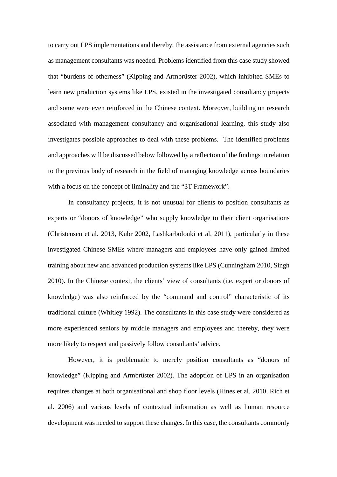to carry out LPS implementations and thereby, the assistance from external agencies such as management consultants was needed. Problems identified from this case study showed that "burdens of otherness" (Kipping and Armbrüster 2002), which inhibited SMEs to learn new production systems like LPS, existed in the investigated consultancy projects and some were even reinforced in the Chinese context. Moreover, building on research associated with management consultancy and organisational learning, this study also investigates possible approaches to deal with these problems. The identified problems and approaches will be discussed below followed by a reflection of the findings in relation to the previous body of research in the field of managing knowledge across boundaries with a focus on the concept of liminality and the "3T Framework".

In consultancy projects, it is not unusual for clients to position consultants as experts or "donors of knowledge" who supply knowledge to their client organisations (Christensen et al. 2013, Kubr 2002, Lashkarbolouki et al. 2011), particularly in these investigated Chinese SMEs where managers and employees have only gained limited training about new and advanced production systems like LPS (Cunningham 2010, Singh 2010). In the Chinese context, the clients' view of consultants (i.e. expert or donors of knowledge) was also reinforced by the "command and control" characteristic of its traditional culture (Whitley 1992). The consultants in this case study were considered as more experienced seniors by middle managers and employees and thereby, they were more likely to respect and passively follow consultants' advice.

However, it is problematic to merely position consultants as "donors of knowledge" (Kipping and Armbrüster 2002). The adoption of LPS in an organisation requires changes at both organisational and shop floor levels (Hines et al. 2010, Rich et al. 2006) and various levels of contextual information as well as human resource development was needed to support these changes. In this case, the consultants commonly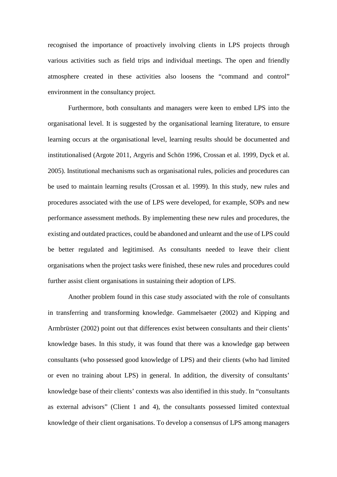recognised the importance of proactively involving clients in LPS projects through various activities such as field trips and individual meetings. The open and friendly atmosphere created in these activities also loosens the "command and control" environment in the consultancy project.

Furthermore, both consultants and managers were keen to embed LPS into the organisational level. It is suggested by the organisational learning literature, to ensure learning occurs at the organisational level, learning results should be documented and institutionalised (Argote 2011, Argyris and Schön 1996, Crossan et al. 1999, Dyck et al. 2005). Institutional mechanisms such as organisational rules, policies and procedures can be used to maintain learning results (Crossan et al. 1999). In this study, new rules and procedures associated with the use of LPS were developed, for example, SOPs and new performance assessment methods. By implementing these new rules and procedures, the existing and outdated practices, could be abandoned and unlearnt and the use of LPS could be better regulated and legitimised. As consultants needed to leave their client organisations when the project tasks were finished, these new rules and procedures could further assist client organisations in sustaining their adoption of LPS.

Another problem found in this case study associated with the role of consultants in transferring and transforming knowledge. Gammelsaeter (2002) and Kipping and Armbrüster (2002) point out that differences exist between consultants and their clients' knowledge bases. In this study, it was found that there was a knowledge gap between consultants (who possessed good knowledge of LPS) and their clients (who had limited or even no training about LPS) in general. In addition, the diversity of consultants' knowledge base of their clients' contexts was also identified in this study. In "consultants as external advisors" (Client 1 and 4), the consultants possessed limited contextual knowledge of their client organisations. To develop a consensus of LPS among managers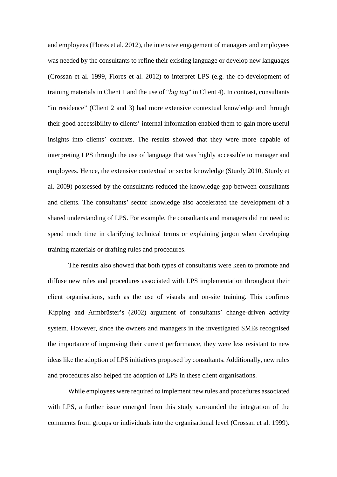and employees (Flores et al. 2012), the intensive engagement of managers and employees was needed by the consultants to refine their existing language or develop new languages (Crossan et al. 1999, Flores et al. 2012) to interpret LPS (e.g. the co-development of training materials in Client 1 and the use of "*big tag*" in Client 4). In contrast, consultants "in residence" (Client 2 and 3) had more extensive contextual knowledge and through their good accessibility to clients' internal information enabled them to gain more useful insights into clients' contexts. The results showed that they were more capable of interpreting LPS through the use of language that was highly accessible to manager and employees. Hence, the extensive contextual or sector knowledge (Sturdy 2010, Sturdy et al. 2009) possessed by the consultants reduced the knowledge gap between consultants and clients. The consultants' sector knowledge also accelerated the development of a shared understanding of LPS. For example, the consultants and managers did not need to spend much time in clarifying technical terms or explaining jargon when developing training materials or drafting rules and procedures.

The results also showed that both types of consultants were keen to promote and diffuse new rules and procedures associated with LPS implementation throughout their client organisations, such as the use of visuals and on-site training. This confirms Kipping and Armbrüster's (2002) argument of consultants' change-driven activity system. However, since the owners and managers in the investigated SMEs recognised the importance of improving their current performance, they were less resistant to new ideas like the adoption of LPS initiatives proposed by consultants. Additionally, new rules and procedures also helped the adoption of LPS in these client organisations.

While employees were required to implement new rules and procedures associated with LPS, a further issue emerged from this study surrounded the integration of the comments from groups or individuals into the organisational level (Crossan et al. 1999).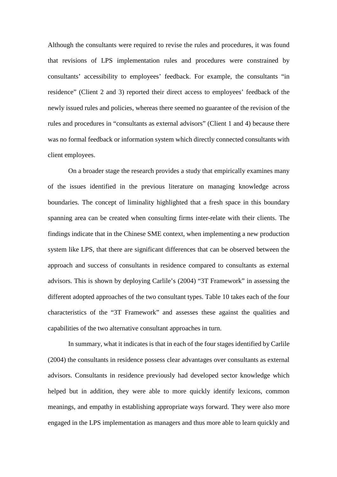Although the consultants were required to revise the rules and procedures, it was found that revisions of LPS implementation rules and procedures were constrained by consultants' accessibility to employees' feedback. For example, the consultants "in residence" (Client 2 and 3) reported their direct access to employees' feedback of the newly issued rules and policies, whereas there seemed no guarantee of the revision of the rules and procedures in "consultants as external advisors" (Client 1 and 4) because there was no formal feedback or information system which directly connected consultants with client employees.

On a broader stage the research provides a study that empirically examines many of the issues identified in the previous literature on managing knowledge across boundaries. The concept of liminality highlighted that a fresh space in this boundary spanning area can be created when consulting firms inter-relate with their clients. The findings indicate that in the Chinese SME context, when implementing a new production system like LPS, that there are significant differences that can be observed between the approach and success of consultants in residence compared to consultants as external advisors. This is shown by deploying Carlile's (2004) "3T Framework" in assessing the different adopted approaches of the two consultant types. Table 10 takes each of the four characteristics of the "3T Framework" and assesses these against the qualities and capabilities of the two alternative consultant approaches in turn.

In summary, what it indicates is that in each of the four stages identified by Carlile (2004) the consultants in residence possess clear advantages over consultants as external advisors. Consultants in residence previously had developed sector knowledge which helped but in addition, they were able to more quickly identify lexicons, common meanings, and empathy in establishing appropriate ways forward. They were also more engaged in the LPS implementation as managers and thus more able to learn quickly and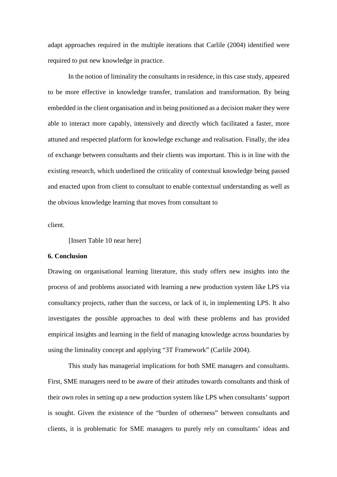adapt approaches required in the multiple iterations that Carlile (2004) identified were required to put new knowledge in practice.

In the notion of liminality the consultants in residence, in this case study, appeared to be more effective in knowledge transfer, translation and transformation. By being embedded in the client organisation and in being positioned as a decision maker they were able to interact more capably, intensively and directly which facilitated a faster, more attuned and respected platform for knowledge exchange and realisation. Finally, the idea of exchange between consultants and their clients was important. This is in line with the existing research, which underlined the criticality of contextual knowledge being passed and enacted upon from client to consultant to enable contextual understanding as well as the obvious knowledge learning that moves from consultant to

client.

[Insert Table 10 near here]

#### **6. Conclusion**

Drawing on organisational learning literature, this study offers new insights into the process of and problems associated with learning a new production system like LPS via consultancy projects, rather than the success, or lack of it, in implementing LPS. It also investigates the possible approaches to deal with these problems and has provided empirical insights and learning in the field of managing knowledge across boundaries by using the liminality concept and applying "3T Framework" (Carlile 2004).

This study has managerial implications for both SME managers and consultants. First, SME managers need to be aware of their attitudes towards consultants and think of their own roles in setting up a new production system like LPS when consultants' support is sought. Given the existence of the "burden of otherness" between consultants and clients, it is problematic for SME managers to purely rely on consultants' ideas and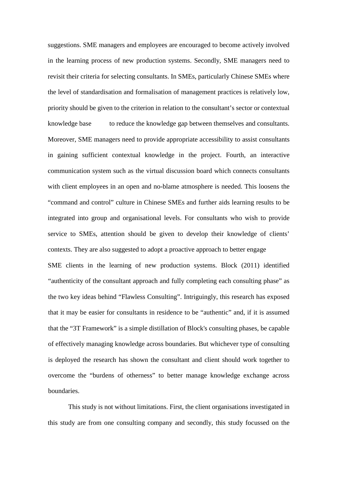suggestions. SME managers and employees are encouraged to become actively involved in the learning process of new production systems. Secondly, SME managers need to revisit their criteria for selecting consultants. In SMEs, particularly Chinese SMEs where the level of standardisation and formalisation of management practices is relatively low, priority should be given to the criterion in relation to the consultant's sector or contextual knowledge base to reduce the knowledge gap between themselves and consultants. Moreover, SME managers need to provide appropriate accessibility to assist consultants in gaining sufficient contextual knowledge in the project. Fourth, an interactive communication system such as the virtual discussion board which connects consultants with client employees in an open and no-blame atmosphere is needed. This loosens the "command and control" culture in Chinese SMEs and further aids learning results to be integrated into group and organisational levels. For consultants who wish to provide service to SMEs, attention should be given to develop their knowledge of clients' contexts. They are also suggested to adopt a proactive approach to better engage SME clients in the learning of new production systems. Block (2011) identified "authenticity of the consultant approach and fully completing each consulting phase" as the two key ideas behind "Flawless Consulting". Intriguingly, this research has exposed that it may be easier for consultants in residence to be "authentic" and, if it is assumed that the "3T Framework" is a simple distillation of Block's consulting phases, be capable of effectively managing knowledge across boundaries. But whichever type of consulting is deployed the research has shown the consultant and client should work together to overcome the "burdens of otherness" to better manage knowledge exchange across boundaries.

This study is not without limitations. First, the client organisations investigated in this study are from one consulting company and secondly, this study focussed on the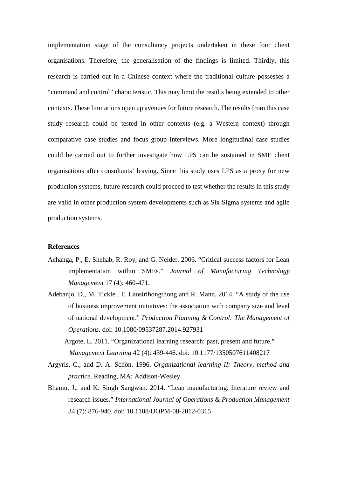implementation stage of the consultancy projects undertaken in these four client organisations. Therefore, the generalisation of the findings is limited. Thirdly, this research is carried out in a Chinese context where the traditional culture possesses a "command and control" characteristic. This may limit the results being extended to other contexts. These limitations open up avenues for future research. The results from this case study research could be tested in other contexts (e.g. a Western context) through comparative case studies and focus group interviews. More longitudinal case studies could be carried out to further investigate how LPS can be sustained in SME client organisations after consultants' leaving. Since this study uses LPS as a proxy for new production systems, future research could proceed to test whether the results in this study are valid in other production system developments such as Six Sigma systems and agile production systems.

## **References**

- Achanga, P., E. Shehab, R. Roy, and G. Nelder. 2006. "Critical success factors for Lean implementation within SMEs." *Journal of Manufacturing Technology Management* 17 (4): 460-471.
- Adebanjo, D., M. Tickle., T. Laosirihongthong and R. Mann. 2014. "A study of the use of business improvement initiatives: the association with company size and level of national development." *Production Planning & Control: The Management of Operations.* doi: 10.1080/09537287.2014.927931

Argote, L. 2011. "Organizational learning research: past, present and future." *Management Learning* 42 (4): 439-446. doi: 10.1177/1350507611408217

- Argyris, C., and D. A. Schön. 1996. *Organizational learning II: Theory, method and practice*. Reading, MA: Addison-Wesley.
- Bhamu, J., and K. Singh Sangwan. 2014. "Lean manufacturing: literature review and research issues." *International Journal of Operations & Production Management* 34 (7): 876-940. doi: 10.1108/IJOPM-08-2012-0315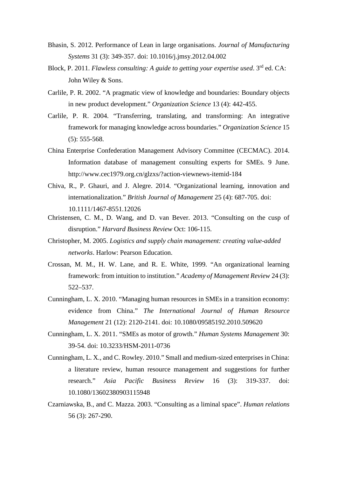- Bhasin, S. 2012. Performance of Lean in large organisations. *Journal of Manufacturing Systems* 31 (3): 349-357. doi: 10.1016/j.jmsy.2012.04.002
- Block, P. 2011. *Flawless consulting: A guide to getting your expertise used*. 3rd ed. CA: John Wiley & Sons.
- Carlile, P. R. 2002. "A pragmatic view of knowledge and boundaries: Boundary objects in new product development." *Organization Science* 13 (4): 442-455.
- Carlile, P. R. 2004. "Transferring, translating, and transforming: An integrative framework for managing knowledge across boundaries." *Organization Science* 15 (5): 555-568.
- China Enterprise Confederation Management Advisory Committee (CECMAC). 2014. Information database of management consulting experts for SMEs. 9 June. http://www.cec1979.org.cn/glzxs/?action-viewnews-itemid-184
- Chiva, R., P. Ghauri, and J. Alegre. 2014. "Organizational learning, innovation and internationalization." *British Journal of Management* 25 (4): 687-705. doi: 10.1111/1467-8551.12026
- Christensen, C. M., D. Wang, and D. van Bever. 2013. "Consulting on the cusp of disruption." *Harvard Business Review* Oct: 106-115.
- Christopher, M. 2005. *Logistics and supply chain management: creating value-added networks*. Harlow: Pearson Education.
- Crossan, M. M., H. W. Lane, and R. E. White, 1999. "An organizational learning framework: from intuition to institution." *Academy of Management Review* 24 (3): 522–537.
- Cunningham, L. X. 2010. "Managing human resources in SMEs in a transition economy: evidence from China." *The International Journal of Human Resource Management* 21 (12): 2120-2141. doi: 10.1080/09585192.2010.509620
- Cunningham, L. X. 2011. "SMEs as motor of growth." *Human Systems Management* 30: 39-54. doi: 10.3233/HSM-2011-0736
- Cunningham, L. X., and C. Rowley. 2010." Small and medium-sized enterprises in China: a literature review, human resource management and suggestions for further research." *Asia Pacific Business Review* 16 (3): 319-337. doi: 10.1080/13602380903115948
- Czarniawska, B., and C. Mazza. 2003. "Consulting as a liminal space". *Human relations* 56 (3): 267-290.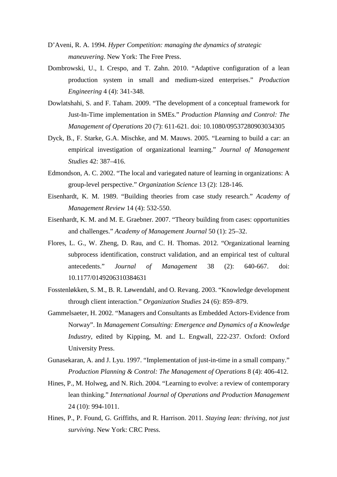- D'Aveni, R. A. 1994. *Hyper Competition: managing the dynamics of strategic maneuvering*. New York: The Free Press.
- Dombrowski, U., I. Crespo, and T. Zahn. 2010. "Adaptive configuration of a lean production system in small and medium-sized enterprises." *Production Engineering* 4 (4): 341-348.
- Dowlatshahi, S. and F. Taham. 2009. "The development of a conceptual framework for Just-In-Time implementation in SMEs." *Production Planning and Control: The Management of Operations* 20 (7): 611-621. doi: 10.1080/09537280903034305
- Dyck, B., F. Starke, G.A. Mischke, and M. Mauws. 2005. "Learning to build a car: an empirical investigation of organizational learning." *Journal of Management Studies* 42: 387–416.
- Edmondson, A. C. 2002. "The local and variegated nature of learning in organizations: A group-level perspective." *Organization Science* 13 (2): 128-146.
- Eisenhardt, K. M. 1989. "Building theories from case study research." *Academy of Management Review* 14 (4): 532-550.
- Eisenhardt, K. M. and M. E. Graebner. 2007. "Theory building from cases: opportunities and challenges." *Academy of Management Journal* 50 (1): 25–32.
- Flores, L. G., W. Zheng, D. Rau, and C. H. Thomas. 2012. "Organizational learning subprocess identification, construct validation, and an empirical test of cultural antecedents." *Journal of Management* 38 (2): 640-667. doi: 10.1177/0149206310384631
- Fosstenløkken, S. M., B. R. Løwendahl, and O. Revang. 2003. "Knowledge development through client interaction." *Organization Studies* 24 (6): 859–879.
- Gammelsaeter, H. 2002. "Managers and Consultants as Embedded Actors-Evidence from Norway". In *Management Consulting: Emergence and Dynamics of a Knowledge Industry*, edited by Kipping, M. and L. Engwall, 222-237. Oxford: Oxford University Press.
- Gunasekaran, A. and J. Lyu. 1997. "Implementation of just-in-time in a small company." *Production Planning & Control: The Management of Operations* 8 (4): 406-412.
- Hines, P., M. Holweg, and N. Rich. 2004. "Learning to evolve: a review of contemporary lean thinking." *International Journal of Operations and Production Management* 24 (10): 994-1011.
- Hines, P., P. Found, G. Griffiths, and R. Harrison. 2011. *Staying lean: thriving, not just surviving*. New York: CRC Press.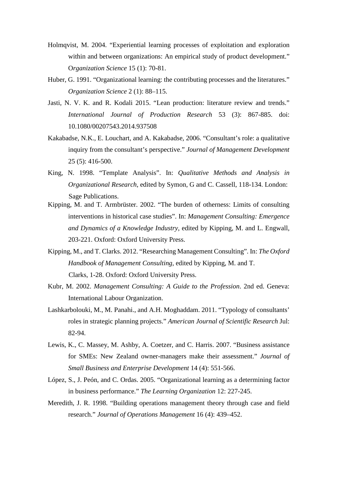- Holmqvist, M. 2004. "Experiential learning processes of exploitation and exploration within and between organizations: An empirical study of product development." O*rganization Science* 15 (1): 70-81.
- Huber, G. 1991. "Organizational learning: the contributing processes and the literatures." *Organization Science* 2 (1): 88–115.
- Jasti, N. V. K. and R. Kodali 2015. "Lean production: literature review and trends." *International Journal of Production Research* 53 (3): 867-885. doi: 10.1080/00207543.2014.937508
- Kakabadse, N.K., E. Louchart, and A. Kakabadse, 2006. "Consultant's role: a qualitative inquiry from the consultant's perspective." *Journal of Management Development* 25 (5): 416-500.
- King, N. 1998. "Template Analysis". In: *Qualitative Methods and Analysis in Organizational Research*, edited by Symon, G and C. Cassell, 118-134. London: Sage Publications.
- Kipping, M. and T. Armbrüster. 2002. "The burden of otherness: Limits of consulting interventions in historical case studies". In: *Management Consulting: Emergence and Dynamics of a Knowledge Industry*, edited by Kipping, M. and L. Engwall, 203-221. Oxford: Oxford University Press.
- Kipping, M., and T. Clarks. 2012. "Researching Management Consulting". In: *The Oxford Handbook of Management Consulting*, edited by Kipping, M. and T. Clarks, 1-28. Oxford: Oxford University Press.
- Kubr, M. 2002. *Management Consulting: A Guide to the Profession*. 2nd ed. Geneva: International Labour Organization.
- Lashkarbolouki, M., M. Panahi., and A.H. Moghaddam. 2011. "Typology of consultants' roles in strategic planning projects." *American Journal of Scientific Research* Jul: 82-94.
- Lewis, K., C. Massey, M. Ashby, A. Coetzer, and C. Harris. 2007. "Business assistance for SMEs: New Zealand owner-managers make their assessment." *Journal of Small Business and Enterprise Development* 14 (4): 551-566.
- López, S., J. Peón, and C. Ordas. 2005. "Organizational learning as a determining factor in business performance." *The Learning Organization* 12: 227-245.
- Meredith, J. R. 1998. "Building operations management theory through case and field research." *Journal of Operations Management* 16 (4): 439–452.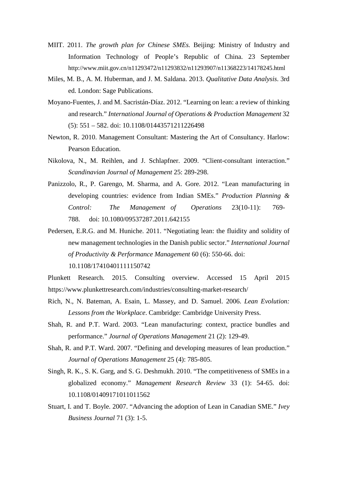- MIIT. 2011. *The growth plan for Chinese SMEs.* Beijing: Ministry of Industry and Information Technology of People's Republic of China. 23 September http://www.miit.gov.cn/n11293472/n11293832/n11293907/n11368223/14178245.html
- Miles, M. B., A. M. Huberman, and J. M. Saldana. 2013. *Qualitative Data Analysis*. 3rd ed. London: Sage Publications.
- Moyano-Fuentes, J. and M. Sacristán-Díaz. 2012. "Learning on lean: a review of thinking and research." *International Journal of Operations & Production Management* 32 (5): 551 – 582. doi: 10.1108/01443571211226498
- Newton, R. 2010. Management Consultant: Mastering the Art of Consultancy. Harlow: Pearson Education.
- Nikolova, N., M. Reihlen, and J. Schlapfner. 2009. "Client-consultant interaction." *Scandinavian Journal of Management* 25: 289-298.
- Panizzolo, R., P. Garengo, M. Sharma, and A. Gore. 2012. "Lean manufacturing in developing countries: evidence from Indian SMEs." *Production Planning & Control: The Management of Operations* 23(10-11): 769- 788. doi: 10.1080/09537287.2011.642155
- Pedersen, E.R.G. and M. Huniche. 2011. "Negotiating lean: the fluidity and solidity of new management technologies in the Danish public sector." *International Journal of Productivity & Performance Management* 60 (6): 550-66. doi: 10.1108/17410401111150742
- Plunkett Research. 2015. Consulting overview. Accessed 15 April 2015 https://www.plunkettresearch.com/industries/consulting-market-research/
- Rich, N., N. Bateman, A. Esain, L. Massey, and D. Samuel. 2006. *Lean Evolution: Lessons from the Workplace*. Cambridge: Cambridge University Press.
- Shah, R. and P.T. Ward. 2003. "Lean manufacturing: context, practice bundles and performance." *Journal of Operations Management* 21 (2): 129-49.
- Shah, R. and P.T. Ward. 2007. "Defining and developing measures of lean production." *Journal of Operations Management* 25 (4): 785-805.
- Singh, R. K., S. K. Garg, and S. G. Deshmukh. 2010. "The competitiveness of SMEs in a globalized economy." *Management Research Review* 33 (1): 54-65. doi: 10.1108/01409171011011562
- Stuart, I. and T. Boyle. 2007. "Advancing the adoption of Lean in Canadian SME." *Ivey Business Journal* 71 (3): 1-5.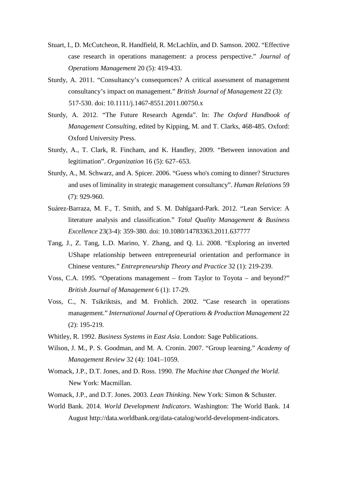- Stuart, I., D. McCutcheon, R. Handfield, R. McLachlin, and D. Samson. 2002. "Effective case research in operations management: a process perspective." *Journal of Operations Management* 20 (5): 419-433.
- Sturdy, A. 2011. "Consultancy's consequences? A critical assessment of management consultancy's impact on management." *British Journal of Management* 22 (3): 517-530. doi: 10.1111/j.1467-8551.2011.00750.x
- Sturdy, A. 2012. "The Future Research Agenda". In: *The Oxford Handbook of Management Consulting,* edited by Kipping, M. and T. Clarks, 468-485. Oxford: Oxford University Press.
- Sturdy, A., T. Clark, R. Fincham, and K. Handley, 2009. "Between innovation and legitimation". *Organization* 16 (5): 627–653.
- Sturdy, A., M. Schwarz, and A. Spicer. 2006. "Guess who's coming to dinner? Structures and uses of liminality in strategic management consultancy". *Human Relations* 59 (7): 929-960.
- Suárez-Barraza, M. F., T. Smith, and S. M. Dahlgaard-Park. 2012. "Lean Service: A literature analysis and classification." *Total Quality Management & Business Excellence* 23(3-4): 359-380. doi: 10.1080/14783363.2011.637777
- Tang, J., Z. Tang, L.D. Marino, Y. Zhang, and Q. Li. 2008. "Exploring an inverted UShape relationship between entrepreneurial orientation and performance in Chinese ventures." *Entrepreneurship Theory and Practice* 32 (1): 219-239.
- Voss, C.A. 1995. "Operations management from Taylor to Toyota and beyond?" *British Journal of Management* 6 (1): 17-29.
- Voss, C., N. Tsikriktsis, and M. Frohlich. 2002. "Case research in operations management." *International Journal of Operations & Production Management* 22 (2): 195-219.
- Whitley, R. 1992. *Business Systems in East Asia*. London: Sage Publications.
- Wilson, J. M., P. S. Goodman, and M. A. Cronin. 2007. "Group learning." *Academy of Management Review* 32 (4): 1041–1059.
- Womack, J.P., D.T. Jones, and D. Ross. 1990. *The Machine that Changed the World*. New York: Macmillan.
- Womack, J.P., and D.T. Jones. 2003. *Lean Thinking*. New York: Simon & Schuster.
- World Bank. 2014. *World Development Indicators*. Washington: The World Bank. 14 August http://data.worldbank.org/data-catalog/world-development-indicators.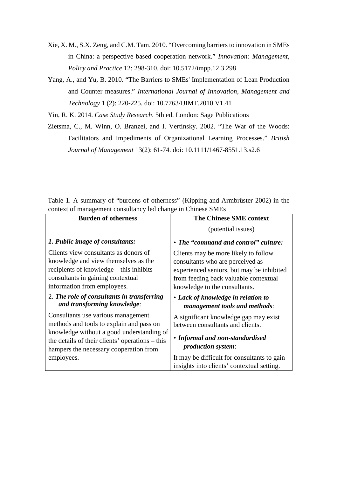- Xie, X. M., S.X. Zeng, and C.M. Tam. 2010. "Overcoming barriers to innovation in SMEs in China: a perspective based cooperation network." *Innovation: Management, Policy and Practice* 12: 298-310. doi: 10.5172/impp.12.3.298
- Yang, A., and Yu, B. 2010. "The Barriers to SMEs' Implementation of Lean Production and Counter measures." *International Journal of Innovation, Management and Technology* 1 (2): 220-225. doi: 10.7763/IJIMT.2010.V1.41

Yin, R. K. 2014. *Case Study Research*. 5th ed. London: Sage Publications

Zietsma, C., M. Winn, O. Branzei, and I. Vertinsky. 2002. "The War of the Woods: Facilitators and Impediments of Organizational Learning Processes." *British Journal of Management* 13(2): 61-74. doi: 10.1111/1467-8551.13.s2.6

| Table 1. A summary of "burdens of otherness" (Kipping and Armbrüster 2002) in the |  |  |  |  |
|-----------------------------------------------------------------------------------|--|--|--|--|
| context of management consultancy led change in Chinese SMEs                      |  |  |  |  |

| <b>Burden of otherness</b>                                                                                                                                                                   | <b>The Chinese SME context</b>                                                                                                                                                                  |
|----------------------------------------------------------------------------------------------------------------------------------------------------------------------------------------------|-------------------------------------------------------------------------------------------------------------------------------------------------------------------------------------------------|
|                                                                                                                                                                                              | (potential issues)                                                                                                                                                                              |
| 1. Public image of consultants:                                                                                                                                                              | • The "command and control" culture:                                                                                                                                                            |
| Clients view consultants as donors of<br>knowledge and view themselves as the<br>recipients of knowledge – this inhibits<br>consultants in gaining contextual<br>information from employees. | Clients may be more likely to follow<br>consultants who are perceived as<br>experienced seniors, but may be inhibited<br>from feeding back valuable contextual<br>knowledge to the consultants. |
| 2. The role of consultants in transferring<br>and transforming knowledge:                                                                                                                    | • Lack of knowledge in relation to<br>management tools and methods:                                                                                                                             |
| Consultants use various management<br>methods and tools to explain and pass on                                                                                                               | A significant knowledge gap may exist<br>between consultants and clients.                                                                                                                       |
| knowledge without a good understanding of<br>the details of their clients' operations – this<br>hampers the necessary cooperation from                                                       | • Informal and non-standardised<br><i>production system:</i>                                                                                                                                    |
| employees.                                                                                                                                                                                   | It may be difficult for consultants to gain<br>insights into clients' contextual setting.                                                                                                       |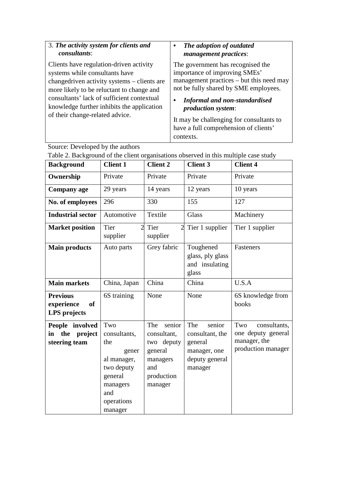| 3. The activity system for clients and                                                                                                                                                                                                                                                               | The adoption of outdated                                                                                                                                                                                                                                                                                                       |
|------------------------------------------------------------------------------------------------------------------------------------------------------------------------------------------------------------------------------------------------------------------------------------------------------|--------------------------------------------------------------------------------------------------------------------------------------------------------------------------------------------------------------------------------------------------------------------------------------------------------------------------------|
| <i>consultants:</i>                                                                                                                                                                                                                                                                                  | management practices:                                                                                                                                                                                                                                                                                                          |
| Clients have regulation-driven activity<br>systems while consultants have<br>changedriven activity systems – clients are<br>more likely to be reluctant to change and<br>consultants' lack of sufficient contextual<br>knowledge further inhibits the application<br>of their change-related advice. | The government has recognised the<br>importance of improving SMEs'<br>management practices – but this need may<br>not be fully shared by SME employees.<br><b>Informal and non-standardised</b><br><i>production system:</i><br>It may be challenging for consultants to<br>have a full comprehension of clients'<br>contexts. |

Source: Developed by the authors

| <b>Background</b>                                          | <b>Client 1</b>                                                                                                         | <b>Client 2</b>                                                                                | <b>Client 3</b>                                                                          | <b>Client 4</b>                                                                 |
|------------------------------------------------------------|-------------------------------------------------------------------------------------------------------------------------|------------------------------------------------------------------------------------------------|------------------------------------------------------------------------------------------|---------------------------------------------------------------------------------|
| Ownership                                                  | Private                                                                                                                 | Private                                                                                        | Private                                                                                  | Private                                                                         |
| <b>Company age</b>                                         | 29 years                                                                                                                | 14 years                                                                                       | 12 years                                                                                 | 10 years                                                                        |
| No. of employees                                           | 296                                                                                                                     | 330                                                                                            | 155                                                                                      | 127                                                                             |
| <b>Industrial sector</b>                                   | Automotive                                                                                                              | Textile                                                                                        | <b>Glass</b>                                                                             | Machinery                                                                       |
| <b>Market position</b>                                     | Tier<br>2<br>supplier                                                                                                   | Tier<br>supplier                                                                               | 2 Tier 1 supplier                                                                        | Tier 1 supplier                                                                 |
| <b>Main products</b>                                       | Auto parts                                                                                                              | Grey fabric                                                                                    | Toughened<br>glass, ply glass<br>and insulating<br>glass                                 | Fasteners                                                                       |
| <b>Main markets</b>                                        | China, Japan                                                                                                            | China                                                                                          | China                                                                                    | U.S.A                                                                           |
| <b>Previous</b><br>experience<br><b>of</b><br>LPS projects | 6S training                                                                                                             | None                                                                                           | None                                                                                     | 6S knowledge from<br>books                                                      |
| People involved<br>in the project<br>steering team         | Two<br>consultants,<br>the<br>gener<br>al manager,<br>two deputy<br>general<br>managers<br>and<br>operations<br>manager | The senior<br>consultant,<br>two deputy<br>general<br>managers<br>and<br>production<br>manager | senior<br>The<br>consultant, the<br>general<br>manager, one<br>deputy general<br>manager | Two<br>consultants,<br>one deputy general<br>manager, the<br>production manager |

Table 2. Background of the client organisations observed in this multiple case study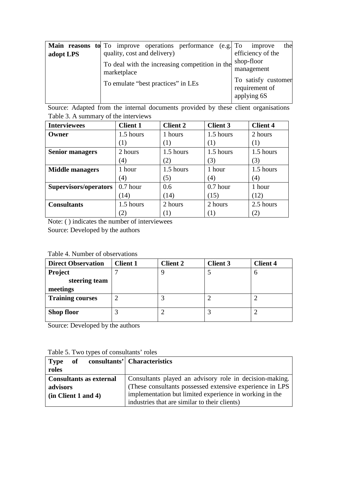|           | <b>Main reasons to</b> To improve operations performance (e.g. To | the<br>improve                        |
|-----------|-------------------------------------------------------------------|---------------------------------------|
| adopt LPS | quality, cost and delivery)                                       | efficiency of the                     |
|           | To deal with the increasing competition in the                    | shop-floor                            |
|           | marketplace                                                       | management                            |
|           | To emulate "best practices" in LEs                                | To satisfy customer<br>requirement of |
|           |                                                                   | applying 6S                           |

Source: Adapted from the internal documents provided by these client organisations Table 3. A summary of the interviews

| <b>Interviewees</b>    | <b>Client 1</b> | <b>Client 2</b> | <b>Client 3</b> | <b>Client 4</b>   |
|------------------------|-----------------|-----------------|-----------------|-------------------|
| Owner                  | 1.5 hours       | 1 hours         | 1.5 hours       | 2 hours           |
|                        | $\pm$           |                 | (1)             | (1)               |
| <b>Senior managers</b> | 2 hours         | 1.5 hours       | 1.5 hours       | 1.5 hours         |
|                        | (4)             | (2)             | (3)             | (3)               |
| <b>Middle managers</b> | 1 hour          | 1.5 hours       | 1 hour          | 1.5 hours         |
|                        | (4)             | (5)             | (4)             | $\left( 4\right)$ |
| Supervisors/operators  | $0.7$ hour      | 0.6             | $0.7$ hour      | 1 hour            |
|                        | (14)            | (14)            | (15)            | (12)              |
| <b>Consultants</b>     | 1.5 hours       | 2 hours         | 2 hours         | 2.5 hours         |
|                        |                 |                 |                 | $\left( 2\right)$ |

Note: ( ) indicates the number of interviewees

Source: Developed by the authors

Table 4. Number of observations

| <b>Direct Observation</b> | <b>Client 1</b> | <b>Client 2</b> | <b>Client 3</b> | <b>Client 4</b> |
|---------------------------|-----------------|-----------------|-----------------|-----------------|
| <b>Project</b>            |                 |                 |                 |                 |
| steering team             |                 |                 |                 |                 |
| meetings                  |                 |                 |                 |                 |
| <b>Training courses</b>   |                 |                 |                 |                 |
| <b>Shop floor</b>         |                 |                 |                 |                 |

Source: Developed by the authors

| <b>Type</b><br>of              | consultants' Characteristics                             |
|--------------------------------|----------------------------------------------------------|
| roles                          |                                                          |
| <b>Consultants as external</b> | Consultants played an advisory role in decision-making.  |
| advisors                       | (These consultants possessed extensive experience in LPS |
| (in Client 1 and 4)            | implementation but limited experience in working in the  |
|                                | industries that are similar to their clients)            |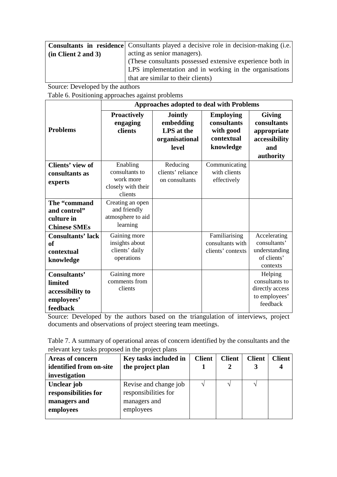|                     | <b>Consultants in residence</b> Consultants played a decisive role in decision-making (i.e. |
|---------------------|---------------------------------------------------------------------------------------------|
| (in Client 2 and 3) | acting as senior managers).                                                                 |
|                     | (These consultants possessed extensive experience both in                                   |
|                     | LPS implementation and in working in the organisations                                      |
|                     | that are similar to their clients)                                                          |

Source: Developed by the authors

Table 6. Positioning approaches against problems

|                                                                   | <b>Approaches adopted to deal with Problems</b>                   |                                                                      |                                                                         |                                                                                  |  |
|-------------------------------------------------------------------|-------------------------------------------------------------------|----------------------------------------------------------------------|-------------------------------------------------------------------------|----------------------------------------------------------------------------------|--|
| <b>Problems</b>                                                   | <b>Proactively</b><br>engaging<br>clients                         | <b>Jointly</b><br>embedding<br>LPS at the<br>organisational<br>level | <b>Employing</b><br>consultants<br>with good<br>contextual<br>knowledge | <b>Giving</b><br>consultants<br>appropriate<br>accessibility<br>and<br>authority |  |
| Clients' view of                                                  | Enabling                                                          | Reducing                                                             | Communicating                                                           |                                                                                  |  |
| consultants as                                                    | consultants to                                                    | clients' reliance                                                    | with clients                                                            |                                                                                  |  |
| experts                                                           | work more<br>closely with their                                   | on consultants                                                       | effectively                                                             |                                                                                  |  |
|                                                                   | clients                                                           |                                                                      |                                                                         |                                                                                  |  |
| The "command<br>and control"<br>culture in<br><b>Chinese SMEs</b> | Creating an open<br>and friendly<br>atmosphere to aid<br>learning |                                                                      |                                                                         |                                                                                  |  |
| <b>Consultants' lack</b>                                          | Gaining more                                                      |                                                                      | Familiarising                                                           | Accelerating                                                                     |  |
| of                                                                | insights about                                                    |                                                                      | consultants with                                                        | consultants'                                                                     |  |
| contextual                                                        | clients' daily                                                    |                                                                      | clients' contexts                                                       | understanding<br>of clients'                                                     |  |
| knowledge                                                         | operations                                                        |                                                                      |                                                                         | contexts                                                                         |  |
| Consultants'                                                      | Gaining more                                                      |                                                                      |                                                                         | Helping                                                                          |  |
| limited                                                           | comments from                                                     |                                                                      |                                                                         | consultants to                                                                   |  |
| accessibility to                                                  | clients                                                           |                                                                      |                                                                         | directly access                                                                  |  |
| employees'                                                        |                                                                   |                                                                      |                                                                         | to employees'                                                                    |  |
| feedback                                                          |                                                                   |                                                                      |                                                                         | feedback                                                                         |  |

Source: Developed by the authors based on the triangulation of interviews, project documents and observations of project steering team meetings.

Table 7. A summary of operational areas of concern identified by the consultants and the relevant key tasks proposed in the project plans

| <b>Areas of concern</b> | Key tasks included in | <b>Client</b> | <b>Client</b> | <b>Client</b> | <b>Client</b> |
|-------------------------|-----------------------|---------------|---------------|---------------|---------------|
| identified from on-site | the project plan      |               |               |               |               |
| investigation           |                       |               |               |               |               |
| Unclear job             | Revise and change job |               |               |               |               |
| responsibilities for    | responsibilities for  |               |               |               |               |
| managers and            | managers and          |               |               |               |               |
| employees               | employees             |               |               |               |               |
|                         |                       |               |               |               |               |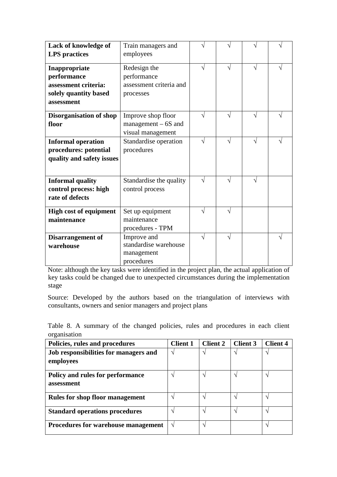| Lack of knowledge of<br><b>LPS</b> practices                                                | Train managers and<br>employees                                     |           |           |            |  |
|---------------------------------------------------------------------------------------------|---------------------------------------------------------------------|-----------|-----------|------------|--|
| Inappropriate<br>performance<br>assessment criteria:<br>solely quantity based<br>assessment | Redesign the<br>performance<br>assessment criteria and<br>processes | $\sqrt{}$ | J         | $\sqrt{}$  |  |
| <b>Disorganisation of shop</b><br>floor                                                     | Improve shop floor<br>$management - 6S$ and<br>visual management    | ٦l        | N         | $\sqrt{}$  |  |
| <b>Informal operation</b><br>procedures: potential<br>quality and safety issues             | Standardise operation<br>procedures                                 | $\sqrt{}$ | $\sqrt{}$ | N          |  |
| <b>Informal quality</b><br>control process: high<br>rate of defects                         | Standardise the quality<br>control process                          | $\sqrt{}$ | V         | $\sqrt{ }$ |  |
| <b>High cost of equipment</b><br>maintenance                                                | Set up equipment<br>maintenance<br>procedures - TPM                 |           | J         |            |  |
| <b>Disarrangement of</b><br>warehouse                                                       | Improve and<br>standardise warehouse<br>management<br>procedures    | N         | V         |            |  |

Note: although the key tasks were identified in the project plan, the actual application of key tasks could be changed due to unexpected circumstances during the implementation stage

Source: Developed by the authors based on the triangulation of interviews with consultants, owners and senior managers and project plans

Table 8. A summary of the changed policies, rules and procedures in each client organisation

| Policies, rules and procedures             | <b>Client 1</b> | <b>Client 2</b>   | <b>Client 3</b> | <b>Client 4</b> |
|--------------------------------------------|-----------------|-------------------|-----------------|-----------------|
| Job responsibilities for managers and      | $\mathcal{L}$   | $\mathbf \Lambda$ | ٦               |                 |
| employees                                  |                 |                   |                 |                 |
| Policy and rules for performance           |                 |                   |                 |                 |
| assessment                                 |                 |                   |                 |                 |
| <b>Rules for shop floor management</b>     |                 | ٦                 |                 |                 |
| <b>Standard operations procedures</b>      | ٦               | $\mathcal{L}$     | ٦               |                 |
| <b>Procedures for warehouse management</b> | $\mathcal{L}$   | ٦                 |                 |                 |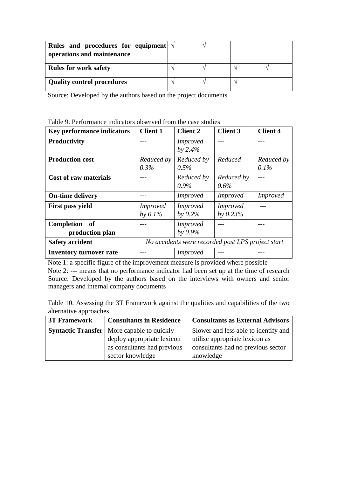| Rules and procedures for equipment $\sqrt{ }$<br>operations and maintenance |  |  |
|-----------------------------------------------------------------------------|--|--|
| <b>Rules for work safety</b>                                                |  |  |
| <b>Quality control procedures</b>                                           |  |  |

Source: Developed by the authors based on the project documents

Table 9. Performance indicators observed from the case studies

| <b>Key performance indicators</b> | <b>Client 1</b>                                   | <b>Client 2</b> | <b>Client 3</b> | <b>Client 4</b> |
|-----------------------------------|---------------------------------------------------|-----------------|-----------------|-----------------|
| <b>Productivity</b>               |                                                   | <i>Improved</i> |                 |                 |
|                                   |                                                   | by $2.4%$       |                 |                 |
| <b>Production cost</b>            | Reduced by                                        | Reduced by      | Reduced         | Reduced by      |
|                                   | $0.3\%$                                           | 0.5%            |                 | $0.1\%$         |
| <b>Cost of raw materials</b>      |                                                   | Reduced by      | Reduced by      |                 |
|                                   |                                                   | $0.9\%$         | $0.6\%$         |                 |
| <b>On-time delivery</b>           |                                                   | <i>Improved</i> | <i>Improved</i> | <i>Improved</i> |
| First pass yield                  | <i>Improved</i>                                   | <i>Improved</i> | <i>Improved</i> |                 |
|                                   | by $0.1\%$                                        | by $0.2\%$      | by $0.23%$      |                 |
| Completion of                     |                                                   | <i>Improved</i> |                 |                 |
| production plan                   |                                                   | by $0.9\%$      |                 |                 |
| <b>Safety accident</b>            | No accidents were recorded post LPS project start |                 |                 |                 |
| <b>Inventory turnover rate</b>    |                                                   | <i>Improved</i> |                 |                 |

Note 1: a specific figure of the improvement measure is provided where possible Note 2: --- means that no performance indicator had been set up at the time of research Source: Developed by the authors based on the interviews with owners and senior managers and internal company documents

Table 10. Assessing the 3T Framework against the qualities and capabilities of the two alternative approaches

| <b>3T Framework</b> | <b>Consultants in Residence</b>                   | <b>Consultants as External Advisors</b> |
|---------------------|---------------------------------------------------|-----------------------------------------|
|                     | <b>Syntactic Transfer</b> More capable to quickly | Slower and less able to identify and    |
|                     | deploy appropriate lexicon                        | utilise appropriate lexicon as          |
|                     | as consultants had previous                       | consultants had no previous sector      |
|                     | sector knowledge                                  | knowledge                               |